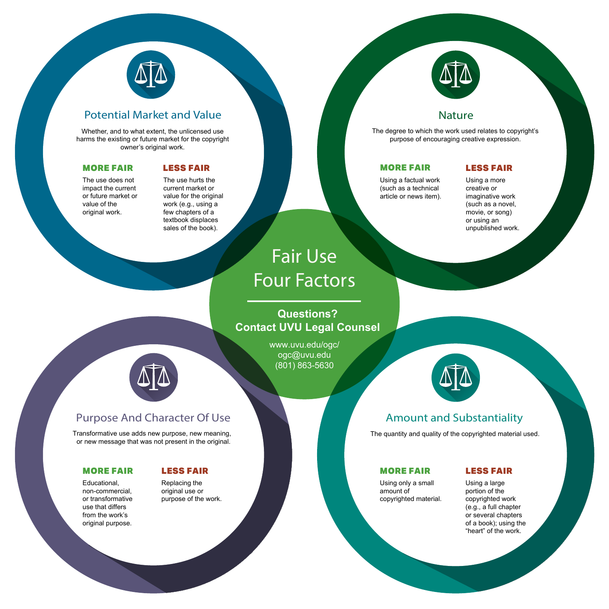

# Potential Market and Value Nature Nature Nature

Amount and Substantiality



#### The quantity and quality of the copyrighted material used.

Using a large portion of the copyrighted work (e.g., a full chapter or several chapters of a book); using the "heart" of the work.

#### MORE FAIR LESS FAIR

Whether, and to what extent, the unlicensed use harms the existing or future market for the copyright owner's original work.

The use does not impact the current or future market or value of the original work.

#### MORE FAIR

Purpose And Character Of Use

Transformative use adds new purpose, new meaning, or new message that was not present in the original.

Educational, non-commercial, or transformative use that differs from the work's original purpose.

Replacing the original use or purpose of the work.

#### MORE FAIR LESS FAIR

The degree to which the work used relates to copyright's purpose of encouraging creative expression.

Using a factual work (such as a technical article or news item).

#### MORE FAIR

Fair Use

# Four Factors

**Questions? Contact UVU Legal Counsel**

> www.uvu.edu/ogc/ ogc@uvu.edu (801) 863-5630



The use hurts the current market or value for the original work (e.g., using a few chapters of a textbook displaces sales of the book).

Using only a small amount of copyrighted material.

### LESS FAIR

Using a more creative or imaginative work (such as a novel, movie, or song) or using an unpublished work.

### LESS FAIR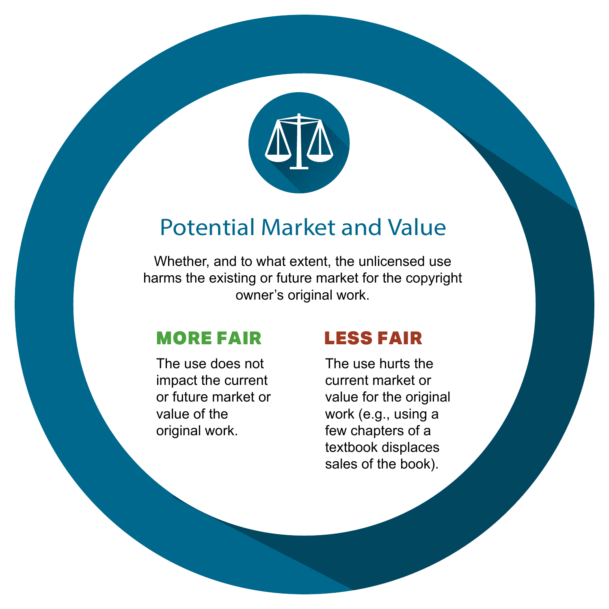

# Potential Market and Value

Whether, and to what extent, the unlicensed use harms the existing or future market for the copyright owner's original work.

### MORE FAIR

The use does not impact the current or future market or value of the original work.

### LESS FAIR

The use hurts the current market or value for the original work (e.g., using a few chapters of a textbook displaces sales of the book).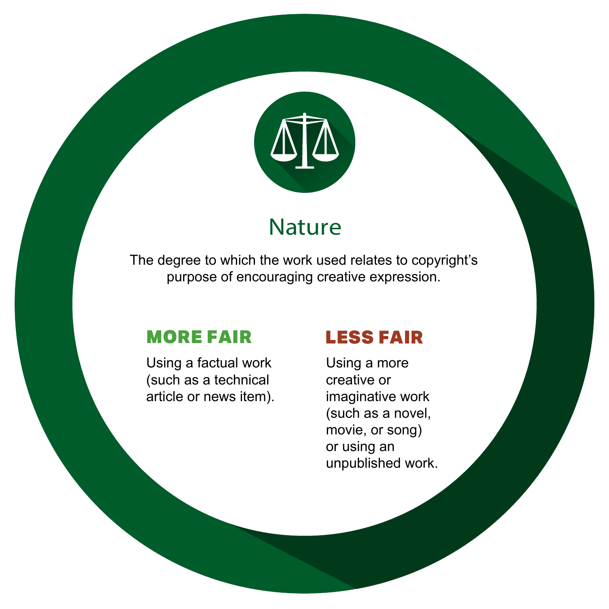

# **Nature**

The degree to which the work used relates to copyright's purpose of encouraging creative expression.

#### MORE FAIR

Using a factual work (such as a technical article or news item).

### LESS FAIR

Using a more creative or imaginative work (such as a novel, movie, or song) or using an unpublished work.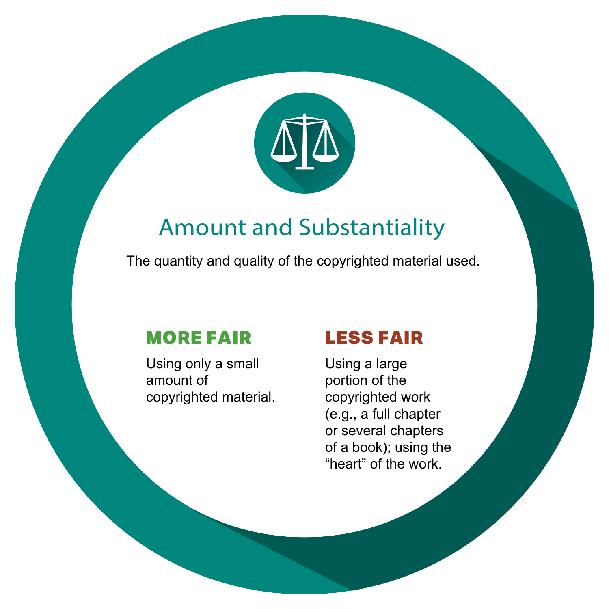

# Amount and Substantiality

The quantity and quality of the copyrighted material used.

Using only a small amount of copyrighted material.

#### MORE FAIR LESS FAIR

Using a large portion of the copyrighted work (e.g., a full chapter or several chapters of a book); using the "heart" of the work.